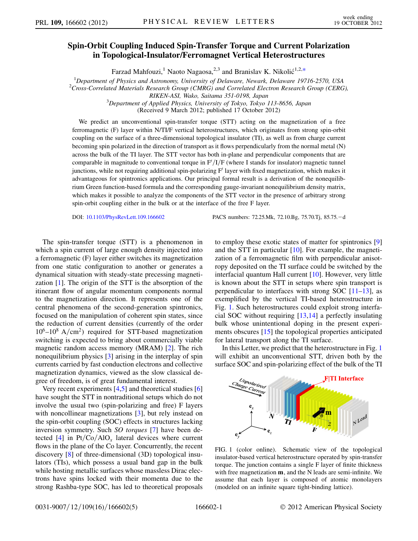# Spin-Orbit Coupling Induced Spin-Transfer Torque and Current Polarization in Topological-Insulator/Ferromagnet Vertical Heterostructures

Farzad Mahfouzi, <sup>1</sup> Naoto Nagaosa,  $2,3$  and Branislav K. Nikolić<sup>1,2[,\\*](#page-4-0)</sup>

<span id="page-0-1"></span><sup>1</sup>Department of Physics and Astronomy, University of Delaware, Newark, Delaware 19716-2570, USA 2 Cross-Correlated Materials Research Group (CMRG) and Correlated Electron Research Group (CERG),

RIKEN-ASI, Wako, Saitama 351-0198, Japan

<sup>3</sup>Department of Applied Physics, University of Tokyo, Tokyo 113-8656, Japan

(Received 9 March 2012; published 17 October 2012)

We predict an unconventional spin-transfer torque (STT) acting on the magnetization of a free ferromagnetic (F) layer within N/TI/F vertical heterostructures, which originates from strong spin-orbit coupling on the surface of a three-dimensional topological insulator (TI), as well as from charge current becoming spin polarized in the direction of transport as it flows perpendicularly from the normal metal (N) across the bulk of the TI layer. The STT vector has both in-plane and perpendicular components that are comparable in magnitude to conventional torque in  $F'/I/F$  (where I stands for insulator) magnetic tunnel junctions, while not requiring additional spin-polarizing  $F'$  layer with fixed magnetization, which makes it advantageous for spintronics applications. Our principal formal result is a derivation of the nonequilibrium Green function-based formula and the corresponding gauge-invariant nonequilibrium density matrix, which makes it possible to analyze the components of the STT vector in the presence of arbitrary strong spin-orbit coupling either in the bulk or at the interface of the free F layer.

DOI: [10.1103/PhysRevLett.109.166602](http://dx.doi.org/10.1103/PhysRevLett.109.166602) PACS numbers: 72.25.Mk, 72.10.Bg, 75.70.Tj, 85.75.<sup>d</sup>

The spin-transfer torque (STT) is a phenomenon in which a spin current of large enough density injected into a ferromagnetic (F) layer either switches its magnetization from one static configuration to another or generates a dynamical situation with steady-state precessing magnetization [[1\]](#page-4-1). The origin of the STT is the absorption of the itinerant flow of angular momentum components normal to the magnetization direction. It represents one of the central phenomena of the second-generation spintronics, focused on the manipulation of coherent spin states, since the reduction of current densities (currently of the order  $10^6$ – $10^8$  A/cm<sup>2</sup>) required for STT-based magnetization switching is expected to bring about commercially viable magnetic random access memory (MRAM) [[2](#page-4-2)]. The rich nonequilibrium physics [\[3\]](#page-4-3) arising in the interplay of spin currents carried by fast conduction electrons and collective magnetization dynamics, viewed as the slow classical degree of freedom, is of great fundamental interest.

Very recent experiments [[4](#page-4-4),[5\]](#page-4-5) and theoretical studies [\[6\]](#page-4-6) have sought the STT in nontraditional setups which do not involve the usual two (spin-polarizing and free) F layers with noncollinear magnetizations [\[3](#page-4-3)], but rely instead on the spin-orbit coupling (SOC) effects in structures lacking inversion symmetry. Such SO torques [\[7](#page-4-7)] have been de-tected [\[4\]](#page-4-4) in Pt/Co/AlO<sub>x</sub> lateral devices where current flows in the plane of the Co layer. Concurrently, the recent discovery [\[8](#page-4-8)] of three-dimensional (3D) topological insulators (TIs), which possess a usual band gap in the bulk while hosting metallic surfaces whose massless Dirac electrons have spins locked with their momenta due to the strong Rashba-type SOC, has led to theoretical proposals to employ these exotic states of matter for spintronics [\[9\]](#page-4-9) and the STT in particular  $[10]$  $[10]$ . For example, the magnetization of a ferromagnetic film with perpendicular anisotropy deposited on the TI surface could be switched by the interfacial quantum Hall current [\[10](#page-4-10)]. However, very little is known about the STT in setups where spin transport is perpendicular to interfaces with strong SOC  $[11-13]$  $[11-13]$  $[11-13]$  $[11-13]$  $[11-13]$ , as exemplified by the vertical TI-based heterostructure in Fig. [1](#page-0-0). Such heterostructures could exploit strong interfacial SOC without requiring [[13](#page-4-12),[14](#page-4-13)] a perfectly insulating bulk whose unintentional doping in the present experiments obscures [\[15](#page-4-14)] the topological properties anticipated for lateral transport along the TI surface.

In this Letter, we predict that the heterostructure in Fig. [1](#page-0-0) will exhibit an unconventional STT, driven both by the surface SOC and spin-polarizing effect of the bulk of the TI

<span id="page-0-0"></span>

FIG. 1 (color online). Schematic view of the topological insulator-based vertical heterostructure operated by spin-transfer torque. The junction contains a single F layer of finite thickness with free magnetization m, and the N leads are semi-infinite. We assume that each layer is composed of atomic monolayers (modeled on an infinite square tight-binding lattice).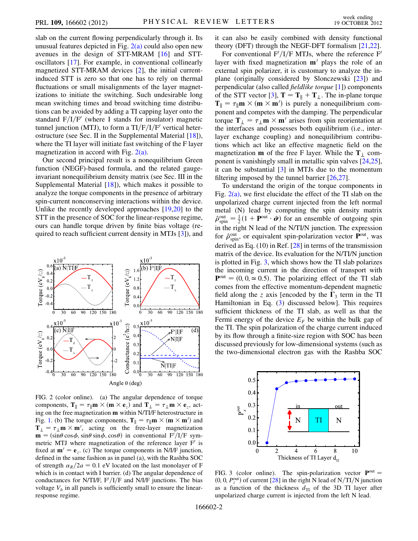slab on the current flowing perpendicularly through it. Its unusual features depicted in Fig.  $2(a)$  could also open new avenues in the design of STT-MRAM [\[16\]](#page-4-15) and STToscillators [\[17\]](#page-4-16). For example, in conventional collinearly magnetized STT-MRAM devices [\[2](#page-4-2)], the initial currentinduced STT is zero so that one has to rely on thermal fluctuations or small misalignments of the layer magnetizations to initiate the switching. Such undesirable long mean switching times and broad switching time distributions can be avoided by adding a TI capping layer onto the standard  $F/I/F'$  (where I stands for insulator) magnetic tunnel junction (MTJ), to form a  $TI/F/I/F'$  vertical heterostructure (see Sec. II in the Supplemental Material [\[18](#page-4-17)]), where the TI layer will initiate fast switching of the F layer magnetization in accord with Fig.  $2(a)$ .

Our second principal result is a nonequilibrium Green function (NEGF)-based formula, and the related gaugeinvariant nonequilibrium density matrix (see Sec. III in the Supplemental Material  $[18]$  $[18]$  $[18]$ , which makes it possible to analyze the torque components in the presence of arbitrary spin-current nonconserving interactions within the device. Unlike the recently developed approaches [[19](#page-4-18),[20](#page-4-19)] to the STT in the presence of SOC for the linear-response regime, ours can handle torque driven by finite bias voltage (required to reach sufficient current density in MTJs [[3\]](#page-4-3)), and

<span id="page-1-2"></span>

<span id="page-1-0"></span>FIG. 2 (color online). (a) The angular dependence of torque components,  $T_{\parallel} = \tau_{\parallel} \mathbf{m} \times (\mathbf{m} \times \mathbf{e}_z)$  and  $T_{\perp} = \tau_{\perp} \mathbf{m} \times \mathbf{e}_z$ , act-<br>ing on the free magnetization **m** within N/TI/E heterostructure in ing on the free magnetization m within N/TI/F heterostructure in Fig. [1.](#page-0-0) (b) The torque components,  $\mathbf{T}_{\parallel} = \tau_{\parallel} \mathbf{m} \times (\mathbf{m} \times \mathbf{m}')$  and  $\mathbf{T}_{\perp} = \tau_{\perp} \mathbf{m} \times \mathbf{m}'$  acting on the free-layer magnetization  $\mathbf{T}_{\perp} = \tau_{\perp} \mathbf{m} \times \mathbf{m}'$ , acting on the free-layer magnetization  $\mathbf{m} = (\sin \theta \cos \phi \sin \theta \sin \phi \cos \theta)$  in conventional  $F'/I/F$  sym- $\mathbf{m} = (\sin \theta \cos \phi, \sin \theta \sin \phi, \cos \theta)$  in conventional  $F^{\prime}/I/F$  sym-<br>metric MTI where magnetization of the reference layer  $F^{\prime}$  is metric MTJ where magnetization of the reference layer  $F'$  is fixed at  $m' = e_z$ . (c) The torque components in N/I/F junction, defined in the same fashion as in panel (a), with the Rashba SOC of strength  $\alpha_R/2a = 0.1$  eV located on the last monolayer of F which is in contact with I barrier. (d) The angular dependence of conductances for N/TI/F,  $F'/I/F$  and N/I/F junctions. The bias voltage  $V_b$  in all panels is sufficiently small to ensure the linearresponse regime.

it can also be easily combined with density functional theory (DFT) through the NEGF-DFT formalism [\[21](#page-4-20)[,22\]](#page-4-21).

For conventional  $F'/I/F$  MTJs, where the reference  $F'$ layer with fixed magnetization  $m'$  plays the role of an external spin polarizer, it is customary to analyze the inplane (originally considered by Slonczewski [[23](#page-4-22)]) and perpendicular (also called fieldlike torque [[1\]](#page-4-1)) components of the STT vector [[3](#page-4-3)],  $T = T_{\parallel} + T_{\perp}$ . The in-plane torque  $T_{\parallel} = \tau_{\parallel} \mathbf{m} \times (\mathbf{m} \times \mathbf{m}')$  is purely a nonequilibrium com-<br>popent and competes with the damping. The perpendicular ponent and competes with the damping. The perpendicular torque  $T_{\perp} = \tau_{\perp} m \times m'$  arises from spin reorientation at the interfaces and possesses both equilibrium (i.e. interthe interfaces and possesses both equilibrium (i.e., interlayer exchange coupling) and nonequilibrium contributions which act like an effective magnetic field on the magnetization **m** of the free F layer. While the  $T_1$  component is vanishingly small in metallic spin valves [\[24,](#page-4-23)[25\]](#page-4-24), it can be substantial  $[3]$  in MTJs due to the momentum filtering imposed by the tunnel barrier [[26](#page-4-25),[27](#page-4-26)].

To understand the origin of the torque components in Fig.  $2(a)$ , we first elucidate the effect of the TI slab on the unpolarized charge current injected from the left normal metal (N) lead by computing the spin density matrix  $\hat{\rho}_{\text{spin}}^{\text{out}} = \frac{1}{2} (1 + \mathbf{P}^{\text{out}} \cdot \hat{\boldsymbol{\sigma}})$  for an ensemble of outgoing spin in the right N lood of the N/TI/N junction. The expression in the right N lead of the N/TI/N junction. The expression for  $\hat{\rho}_{spin}^{out}$ , or equivalent spin-polarization vector  $\hat{\mathbf{P}}_{out}$ , was derived as Eq. (10) in Ref. [\[28\]](#page-4-27) in terms of the transmission matrix of the device. Its evaluation for the N/TI/N junction is plotted in Fig. [3,](#page-1-1) which shows how the TI slab polarizes the incoming current in the direction of transport with  $P<sup>out</sup> = (0, 0, \approx 0.5)$ . The polarizing effect of the TI slab comes from the effective momentum-dependent magnetic field along the z axis [encoded by the  $\Gamma_3$  term in the TI Hamiltonian in Eq. ([3](#page-2-0)) discussed below]. This requires sufficient thickness of the TI slab, as well as that the Fermi energy of the device  $E_F$  be within the bulk gap of the TI. The spin polarization of the charge current induced by its flow through a finite-size region with SOC has been discussed previously for low-dimensional systems (such as the two-dimensional electron gas with the Rashba SOC

<span id="page-1-1"></span>

FIG. 3 (color online). The spin-polarization vector  $P<sup>out</sup>$  =  $(0, 0, P<sub>Q</sub><sup>out</sup>)$  of current [[28](#page-4-27)] in the right N lead of N/TI/N junction<br>as a function of the thickness  $d_{\text{m}}$  of the 3D TI layer after as a function of the thickness  $d_{\text{TI}}$  of the 3D TI layer after unpolarized charge current is injected from the left N lead.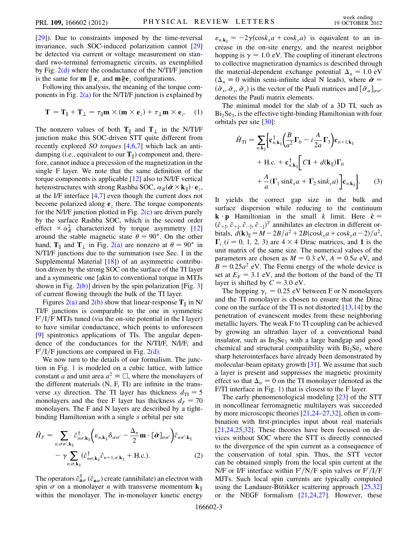[\[29\]](#page-4-28)). Due to constraints imposed by the time-reversal invariance, such SOC-induced polarization cannot [\[29\]](#page-4-28) be detected via current or voltage measurement on standard two-terminal ferromagnetic circuits, as exemplified by Fig. [2\(d\)](#page-1-0) where the conductance of the N/TI/F junction is the same for **m**  $\|\mathbf{e}_z\|$  and **m** $\|\mathbf{e}_z\|$  configurations.

Following this analysis, the meaning of the torque components in Fig.  $2(a)$  for the N/TI/F junction is explained by

$$
\mathbf{T} = \mathbf{T}_{\parallel} + \mathbf{T}_{\perp} = \tau_{\parallel} \mathbf{m} \times (\mathbf{m} \times \mathbf{e}_z) + \tau_{\perp} \mathbf{m} \times \mathbf{e}_z.
$$
 (1)

The nonzero values of both  $T_{\parallel}$  and  $T_{\perp}$  in the N/TI/F junction make this SOC-driven STT quite different from recently explored SO torques [\[4](#page-4-4),[6](#page-4-6),[7\]](#page-4-7) which lack an antidamping (i.e., equivalent to our  $T_{\parallel}$ ) component and, therefore, cannot induce a precession of the magnetization in the single F layer. We note that the same definition of the torque components is applicable [\[12\]](#page-4-29) also to N/I/F vertical heterostructures with strong Rashba SOC,  $\alpha_R(\hat{\boldsymbol{\sigma}} \times k_{\parallel}) \cdot \mathbf{e}_z$ ,<br>at the LE interface L4.71 even though the current does not at the I/F interface [[4](#page-4-4)[,7\]](#page-4-7) even though the current does not become polarized along  $e<sub>z</sub>$  there. The torque components for the N/I/F junction plotted in Fig.  $2(c)$  are driven purely by the surface Rashba SOC, which is the second order effect  $\propto \alpha_R^2$  characterized by torque asymmetry [\[12\]](#page-4-29)<br>around the stable magnetic state  $\theta = 90^\circ$ . On the other around the stable magnetic state  $\theta = 90^{\circ}$ . On the other hand,  $T_{\parallel}$  and  $T_{\perp}$  in Fig. [2\(a\)](#page-1-0) are nonzero at  $\theta = 90^{\circ}$  in N/TI/F junctions due to the summation (see Sec. I in the Supplemental Material [\[18\]](#page-4-17)) of an asymmetric contribution driven by the strong SOC on the surface of the TI layer and a symmetric one [akin to conventional torque in MTJs shown in Fig.  $2(b)$ ] driven by the spin polarization [Fig. [3\]](#page-1-1) of current flowing through the bulk of the TI layer.

Figures [2\(a\)](#page-1-0) and [2\(b\)](#page-1-0) show that linear-response  $T_{\parallel}$  in N/ TI/F junctions is comparable to the one in symmetric  $F'/I/F$  MTJs tuned (via the on-site potential in the I layer) to have similar conductance, which points to unforeseen [\[9\]](#page-4-9) spintronics applications of TIs. The angular dependence of the conductances for the N/TI/F, N/I/F, and  $F'/I/F$  junctions are compared in Fig. [2\(d\)](#page-1-0).

We now turn to the details of our formalism. The junction in Fig. [1](#page-0-0) is modeled on a cubic lattice, with lattice constant *a* and unit area  $a^2 \equiv \Box$ , where the monolayers of the different materials (N, F, TI) are infinite in the transverse xy direction. The TI layer has thickness  $d_{\text{TI}} = 5$ monolayers and the free F layer has thickness  $d_F = 70$ monolayers. The F and N layers are described by a tightbinding Hamiltonian with a single s orbital per site

$$
\hat{H}_F = \sum_{n,\sigma\sigma',\mathbf{k}_{\parallel}} \hat{c}_{n\sigma,\mathbf{k}_{\parallel}}^{\dagger} \Big( \varepsilon_{n,\mathbf{k}_{\parallel}} \delta_{\sigma\sigma'} - \frac{\Delta_n}{2} \mathbf{m} \cdot [\hat{\boldsymbol{\sigma}}]_{\sigma\sigma'} \Big) \hat{c}_{n\sigma',\mathbf{k}_{\parallel}} \n- \gamma \sum_{n,\sigma,\mathbf{k}_{\parallel}} (\hat{c}_{n\sigma,\mathbf{k}_{\parallel}}^{\dagger} \hat{c}_{n+1,\sigma,\mathbf{k}_{\parallel}} + \text{H.c.}).
$$
\n(2)

The operators  $\hat{c}_{\mathbf{n}\sigma}^{\dagger}$  ( $\hat{c}_{\mathbf{n}\sigma}$ ) create (annihilate) an electron with spin  $\sigma$  on a monolayer *n* with transverse momentum  $\mathbf{k}_{\parallel}$ within the monolayer. The in-monolayer kinetic energy  $\varepsilon_{n,\mathbf{k}_{\parallel}} = -2\gamma(\cos k_x a + \cos k_y a)$  is equivalent to an increase in the on-site energy, and the nearest neighbor hopping is  $\gamma = 1.0$  eV. The coupling of itinerant electrons to collective magnetization dynamics is described through the material-dependent exchange potential  $\Delta_n = 1.0 \text{ eV}$  $(\Delta_n \equiv 0$  within semi-infinite ideal N leads), where  $\hat{\boldsymbol{\sigma}} =$  $(\hat{\sigma}_x, \hat{\sigma}_y, \hat{\sigma}_z)$  is the vector of the Pauli matrices and  $[\hat{\sigma}_\alpha]_{\sigma\sigma'}$ denotes the Pauli matrix elements.

<span id="page-2-0"></span>The minimal model for the slab of a 3D TI, such as  $Bi<sub>2</sub>Se<sub>3</sub>$ , is the effective tight-binding Hamiltonian with four orbitals per site [\[30](#page-4-30)]:

$$
\hat{H}_{\text{TI}} = \sum_{n,\mathbf{k}_{\parallel}} \left\{ \mathbf{c}_{n,\mathbf{k}_{\parallel}}^{\dagger} \left( \frac{B}{a^2} \mathbf{\Gamma}_0 - i \frac{A}{2a} \mathbf{\Gamma}_3 \right) \mathbf{c}_{n+1,\mathbf{k}_{\parallel}} \right. \\
\left. + \text{H.c.} + \mathbf{c}_{n,\mathbf{k}_{\parallel}}^{\dagger} \left[ C \mathbf{1} + d(\mathbf{k}_{\parallel}) \mathbf{\Gamma}_0 \right. \\
\left. + \frac{A}{a} (\mathbf{\Gamma}_1 \sin k_x a + \mathbf{\Gamma}_2 \sin k_y a) \right] \mathbf{c}_{n,\mathbf{k}_{\parallel}} \right\}.
$$
\n(3)

It yields the correct gap size in the bulk and surface dispersion while reducing to the continuum **k**  $\cdot$ **p** Hamiltonian in the small k limit. Here  $\hat{\mathbf{c}} =$  $(\hat{c}_{+\uparrow}, \hat{c}_{+\downarrow}, \hat{c}_{-\uparrow}, \hat{c}_{-\downarrow})^T$  annihilates an electron in different or-<br>bitals  $d(\mathbf{k})_{\parallel} = M - 2R/a^2 + 2R(\cos k/a + \cos k/a - 2)/a^2$ bitals,  $d(\mathbf{k})_{\parallel} = M - 2B/a^2 + 2B(\cos k_x a + \cos k_y a - 2)/a^2$ ,  $\Gamma_i$  (*i* = 0, 1, 2, 3) are  $4 \times 4$  Dirac matrices, and 1 is the unit matrix of the same size. The numerical values of the unit matrix of the same size. The numerical values of the parameters are chosen as  $M = 0.3$  eV,  $A = 0.5a$  eV, and  $B = 0.25a^2$  eV. The Fermi energy of the whole device is set at  $E_F = 3.1$  eV, and the bottom of the band of the TI layer is shifted by  $C = 3.0$  eV.

The hopping  $\gamma_c = 0.25$  eV between F or N monolayers and the TI monolayer is chosen to ensure that the Dirac cone on the surface of the TI is not distorted [[13](#page-4-12),[14](#page-4-13)] by the penetration of evanescent modes from these neighboring metallic layers. The weak F to TI coupling can be achieved by growing an ultrathin layer of a conventional band insulator, such as  $In_2Se_3$  with a large bandgap and good chemical and structural compatibility with  $Bi<sub>2</sub>Se<sub>3</sub>$  where sharp heterointerfaces have already been demonstrated by molecular-beam epitaxy growth [\[31\]](#page-4-31). We assume that such a layer is present and suppresses the magnetic proximity effect so that  $\Delta_n = 0$  on the TI monolayer (denoted as the F/TI interface in Fig. [1](#page-0-0)) that is closest to the F layer.

The early phenomenological modeling [\[23\]](#page-4-22) of the STT in noncollinear ferromagnetic multilayers was succeeded by more microscopic theories [[21](#page-4-20),[24](#page-4-23)–[27,](#page-4-26)[32](#page-4-32)], often in combination with first-principles input about real materials [\[21](#page-4-20)[,24,](#page-4-23)[25](#page-4-24),[32](#page-4-32)]. These theories have been focused on devices without SOC where the STT is directly connected to the divergence of the spin current as a consequence of the conservation of total spin. Thus, the STT vector can be obtained simply from the local spin current at the N/F or I/F interface within  $F'/N/F$  spin valves or  $F'/I/F$ MJTs. Such local spin currents are typically computed using the Landauer-Bütikker scattering approach  $[25,32]$  $[25,32]$ or the NEGF formalism [[21](#page-4-20),[24](#page-4-23),[27](#page-4-26)]. However, these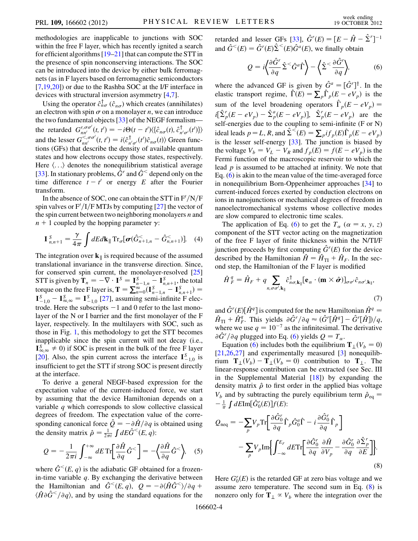methodologies are inapplicable to junctions with SOC within the free F layer, which has recently ignited a search for efficient algorithms  $[19-21]$  $[19-21]$  $[19-21]$  that can compute the STT in the presence of spin nonconserving interactions. The SOC can be introduced into the device by either bulk ferromagnets (as in F layers based on ferromagnetic semiconductors [\[7,](#page-4-7)[19](#page-4-18)[,20\]](#page-4-19)) or due to the Rashba SOC at the I/F interface in devices with structural inversion asymmetry [\[4](#page-4-4),[7](#page-4-7)].

Using the operator  $\hat{c}_{n\sigma}^{\dagger}$  ( $\hat{c}_{n\sigma}$ ) which creates (annihilates) an electron with spin  $\sigma$  on a monolayer *n*, we can introduce the two fundamental objects [\[33\]](#page-4-33) of the NEGF formalism the retarded  $G_{nn'}^{r,\sigma\sigma'}(t, t') = -i\Theta(t - t') \langle {\hat{c}}_{n\sigma}^{\dagger}(t), {\hat{c}}_{n'\sigma'}^{\dagger}(t') \rangle$ <br>and the lesser  $G_{n'\sigma'}^{<\sigma\sigma'}(t, t') = i \langle {\hat{c}}_{n'\sigma'}^{\dagger}(t') {\hat{c}}_{n\sigma}(t) \rangle$  Green func-<br>tions (GEs) that describe the density of available quantum tions (GFs) that describe the density of available quantum states and how electrons occupy those states, respectively. Here  $\langle \ldots \rangle$  denotes the nonequilibrium statistical average [\[33\]](#page-4-33). In stationary problems,  $\hat{G}^r$  and  $\hat{G}^<$  depend only on the time difference  $t - t'$  or energy E after the Fourier<br>transform transform.

In the absence of SOC, one can obtain the STT in  $F/N/F$ spin valves or  $F'/I/F$  MTJs by computing [\[27\]](#page-4-26) the vector of the spin current between two neighboring monolayers  $n$  and  $n + 1$  coupled by the hopping parameter  $\gamma$ :

$$
\mathbf{I}_{n,n+1}^{S} = \frac{\gamma}{4\pi} \int dEd\mathbf{k}_{\parallel} \operatorname{Tr}_{\sigma}[\boldsymbol{\sigma}(\hat{G}_{n+1,n}^{<} - \hat{G}_{n,n+1}^{<})]. \quad (4)
$$

The integration over  $k_{\parallel}$  is required because of the assumed translational invariance in the transverse direction. Since, for conserved spin current, the monolayer-resolved [\[25\]](#page-4-24) STT is given by  $\mathbf{T}_n = -\nabla \cdot \mathbf{I}^S = \mathbf{I}_{n-1,n}^S - \mathbf{I}_{n,n+1}^S$ , the total<br>torque on the free Elevenis  $\mathbf{T} = \nabla^\infty (\mathbf{I}^S - \mathbf{I}^S) =$ torque on the free F layer is,  $\mathbf{T} = \sum_{n=0}^{\infty} (\mathbf{I}_{n-1,n}^{S} - \mathbf{I}_{n,n+1}^{S}) = \mathbf{I}_{-1,0}^{S} - \mathbf{I}_{\infty,\infty}^{S} = \mathbf{I}_{-1,0}^{S}$  [\[27\]](#page-4-26), assuming semi-infinite F electrode. Here the subscripts  $-1$  and 0 refer to the last mo trode. Here the subscripts  $-1$  and 0 refer to the last monolayer of the N or I barrier and the first monolayer of the F layer, respectively. In the multilayers with SOC, such as those in Fig. [1](#page-0-0), this methodology to get the STT becomes inapplicable since the spin current will not decay (i.e.,  $I_{\infty}^{s} \neq 0$  if SOC is present in the bulk of the free F layer [\[20\]](#page-4-19). Also, the spin current across the interface  $I_{1,0}^S$  is<br>insufficient to get the STT if strong SOC is present directly insufficient to get the STT if strong SOC is present directly at the interface.

To derive a general NEGF-based expression for the expectation value of the current-induced force, we start by assuming that the device Hamiltonian depends on a variable  $q$  which corresponds to slow collective classical degrees of freedom. The expectation value of the corresponding canonical force  $\hat{Q} = -\partial \hat{H}/\partial q$  is obtained using the density matrix  $\hat{\rho} = \frac{1}{2\pi i} \int dE \hat{G}^<(E, q)$ :

$$
Q = -\frac{1}{2\pi i} \int_{-\infty}^{+\infty} dE \operatorname{Tr} \left[ \frac{\partial \hat{H}}{\partial q} \hat{G}^< \right] = -\left\langle \frac{\partial \hat{H}}{\partial q} \hat{G}^< \right\rangle, \quad (5)
$$

where  $\hat{G}^{\leq}(E, q)$  is the adiabatic GF obtained for a frozenin-time variable  $q$ . By exchanging the derivative between the Hamiltonian and  $\hat{G}^{\leq}(E, q)$ ,  $Q = -\partial \langle \hat{H}\hat{G}^{\leq}\rangle/\partial q +$  $\langle \hat{H} \partial \hat{G}^< \rangle \partial q$ , and by using the standard equations for the <span id="page-3-0"></span>retarded and lesser GFs [\[33\]](#page-4-33),  $\hat{G}^r(E) = [E - \hat{H} - \hat{\Sigma}^r]^{-1}$ <br>and  $\hat{G}^{\leq}(E) = \hat{G}^r(E) \hat{\Sigma}^{\leq}(E) \hat{G}^a(E)$  we finally obtain ٔ<br>ب and  $\hat{G}^<(E) = \hat{G}^r(E)\hat{\Sigma}^<(E)\hat{G}^a(E)$ , we finally obtain

$$
Q = i \left\langle \frac{\partial \hat{G}^r}{\partial q} \hat{\Sigma}^< \hat{G}^a \hat{\Gamma} \right\rangle - \left\langle \hat{\Sigma}^< \frac{\partial \hat{G}^r}{\partial q} \right\rangle, \tag{6}
$$

where the advanced GF is given by  $\hat{G}^a = [\hat{G}^r]^{\dagger}$ . In the elastic transport regime  $\hat{\Gamma}(F) = \nabla \hat{\Gamma} (F - eV)$  is the elastic transport regime,  $\hat{\Gamma}(E) = \sum_{p} \hat{\Gamma}_p (E - eV_p)$  is the sum of the level broadening operators  $\hat{\Gamma}_p(E - eV_p) =$  $i\left[\hat{\Sigma}_{p}^{r}(E - eV_{p}) - \hat{\Sigma}_{p}^{a}(E - eV_{p})\right], \hat{\Sigma}_{p}^{r}(E - eV_{p})$  are the self-energies due to the coupling to semi-infinite (E or N) self-energies due to the coupling to semi-infinite (F or N) ideal leads  $p = L$ , R, and  $\hat{\Sigma}^{\leq}(E) = \sum_{p} i f_{p}(E) \hat{\Gamma}_{p}(E - eV_{p})$ is the lesser self-energy [[33](#page-4-33)]. The junction is biased by the voltage  $V_b = V_L - V_R$  and  $f_p(E) = f(E - eV_p)$  is the Fermi function of the macroscopic reservoir to which the lead  $p$  is assumed to be attached at infinity. We note that Eq. ([6](#page-3-0)) is akin to the mean value of the time-averaged force in nonequilibrium Born-Oppenheimer approaches [\[34\]](#page-4-34) to current-induced forces exerted by conduction electrons on ions in nanojunctions or mechanical degrees of freedom in nanoelectromechanical systems whose collective modes are slow compared to electronic time scales.

The application of Eq. [\(6\)](#page-3-0) to get the  $T_a$  ( $\alpha = x, y, z$ ) component of the STT vector acting on the magnetization of the free F layer of finite thickness within the N/TI/F junction proceeds by first computing  $\hat{G}^r(E)$  for the device<br>described by the Hamiltonian  $\hat{H} = \hat{H}_{-} + \hat{H}_{-}$ . In the secdescribed by the Hamiltonian  $\hat{H} = \hat{H}_{\text{TI}} + \hat{H}_F$ . In the sec-<br>ond step, the Hamiltonian of the F layer is modified

$$
\hat{H}_F^q = \hat{H}_F + q \sum_{n, \sigma \sigma', \mathbf{k}_{\parallel}} \hat{c}_{n\sigma, \mathbf{k}_{\parallel}}^{\dagger} [\mathbf{e}_{\alpha} \cdot (\mathbf{m} \times \hat{\boldsymbol{\sigma}})]_{\sigma \sigma'} \hat{c}_{n\sigma', \mathbf{k}_{\parallel}},
$$
\n(7)

and  $\hat{G}^r(E)[\hat{H}^q]$  is computed for the new Hamiltonian  $\hat{H}^q = \hat{H}^q + \hat{H}^q$ . This vialds  $\hat{A}\hat{G}^r/\hat{A}q \approx (\hat{G}^r \hat{H}^q) - \hat{G}^r \hat{H}^q \hat{H}^r/\hat{A}$  $\hat{H}_{\text{TI}} + \hat{H}_{F}^{\hat{q}}$ . This yields  $\partial \hat{G}^{r}/\partial q \approx (\hat{G}^{r}[\hat{H}^{q}] - \hat{G}^{r}[\hat{H}])/q$ ,<br>where we use  $q = 10^{-7}$  as the infinitesimal. The derivative where we use  $q = 10^{-7}$  as the infinitesimal. The derivative  $\partial \hat{G}^r / \partial q$  plugged into Eq. [\(6](#page-3-0)) yields  $Q = T_\alpha$ .<br>Fauation (6) includes both the equilibrium

Equation ([6\)](#page-3-0) includes both the equilibrium  $T_{\perp}(V_b = 0)$ [\[21](#page-4-20)[,26,](#page-4-25)[27](#page-4-26)] and experimentally measured [\[3\]](#page-4-3) nonequilibrium  $T_{\perp}(V_b) - T_{\perp}(V_b = 0)$  contribution to  $T_{\perp}$ . The linear-response contribution can be extracted (see Sec. III in the Supplemental Material  $[18]$ ) by expanding the density matrix  $\hat{\rho}$  to first order in the applied bias voltage  $V_b$  and by subtracting the purely equilibrium term  $\hat{\rho}_{eq} = \frac{1}{\hbar} \int dE \text{Im}[\hat{\sigma}^r(E)] f(E)$ .  $-\frac{1}{\pi}\int dE$ Im $[\hat{G}'_0(E)]f(E)$ :

<span id="page-3-1"></span>
$$
Q_{\text{neq}} = -\sum_{p} V_{p} \text{Tr} \bigg[ \frac{\partial \hat{G}_{0}^{r}}{\partial q} \hat{\Gamma}_{p} \hat{G}_{0}^{a} \hat{\Gamma} - i \frac{\partial \hat{G}_{0}^{r}}{\partial q} \hat{\Gamma}_{p} \bigg] - \sum_{p} V_{p} \text{Im} \bigg\{ \int_{-\infty}^{E_{F}} dE \text{Tr} \bigg[ \frac{\partial \hat{G}_{0}^{r}}{\partial q} \frac{\partial \hat{H}}{\partial V_{p}} - \frac{\partial \hat{G}_{0}^{r}}{\partial q} \frac{\partial \hat{\Sigma}_{p}^{r}}{\partial E} \bigg] \bigg\}.
$$
\n(8)

Here  $G_0^r(E)$  is the retarded GF at zero bias voltage and we assume zero temperature. The second sum in Eq. (8) is assume zero temperature. The second sum in Eq. [\(8](#page-3-1)) is nonzero only for  $T_{\perp} \propto V_b$  where the integration over the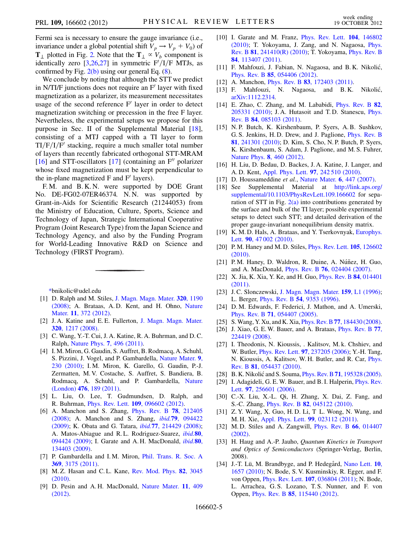Fermi sea is necessary to ensure the gauge invariance (i.e., invariance under a global potential shift  $V_p \rightarrow V_p + V_0$ ) of  $T_{\perp}$  plotted in Fig. [2.](#page-1-2) Note that the  $T_{\perp} \propto V_b$  component is identically zero  $[3,26,27]$  $[3,26,27]$  $[3,26,27]$  $[3,26,27]$  $[3,26,27]$  in symmetric  $F'/I/F$  MTJs, as confirmed by Fig.  $2(b)$  using our general Eq. [\(8](#page-3-1)).

We conclude by noting that although the STT we predict in N/TI/F junctions does not require an  $F<sup>'</sup>$  layer with fixed magnetization as a polarizer, its measurement necessitates usage of the second reference  $F'$  layer in order to detect magnetization switching or precession in the free F layer. Nevertheless, the experimental setups we propose for this purpose in Sec. II of the Supplemental Material [\[18\]](#page-4-17), consisting of a MTJ capped with a TI layer to form  $TI/F/I/F'$  stacking, require a much smaller total number of layers than recently fabricated orthogonal STT-MRAM [\[16\]](#page-4-15) and STT-oscillators [\[17\]](#page-4-16) (containing an  $F''$  polarizer whose fixed magnetization must be kept perpendicular to the in-plane magnetized  $F$  and  $F'$  layers).

F. M. and B. K. N. were supported by DOE Grant No. DE-FG02-07ER46374. N.N. was supported by Grant-in-Aids for Scientific Research (21244053) from the Ministry of Education, Culture, Sports, Science and Technology of Japan, Strategic International Cooperative Program (Joint Research Type) from the Japan Science and Technology Agency, and also by the Funding Program for World-Leading Innovative R&D on Science and Technology (FIRST Program).

<span id="page-4-0"></span>[\\*b](#page-0-1)nikolic@udel.edu

- <span id="page-4-2"></span><span id="page-4-1"></span>[1] D. Ralph and M. Stiles, [J. Magn. Magn. Mater.](http://dx.doi.org/10.1016/j.jmmm.2007.12.019) 320, 1190 [\(2008\)](http://dx.doi.org/10.1016/j.jmmm.2007.12.019); A. Brataas, A. D. Kent, and H. Ohno, [Nature](http://dx.doi.org/10.1038/nmat3311) Mater. 11[, 372 \(2012\).](http://dx.doi.org/10.1038/nmat3311)
- <span id="page-4-3"></span>[2] J.A. Katine and E.E. Fullerton, [J. Magn. Magn. Mater.](http://dx.doi.org/10.1016/j.jmmm.2007.12.013) 320[, 1217 \(2008\).](http://dx.doi.org/10.1016/j.jmmm.2007.12.013)
- <span id="page-4-4"></span>[3] C. Wang, Y.-T. Cui, J. A. Katine, R. A. Buhrman, and D. C. Ralph, [Nature Phys.](http://dx.doi.org/10.1038/nphys1928) 7, 496 (2011).
- [4] I. M. Miron, G. Gaudin, S. Auffret, B. Rodmacq, A. Schuhl, S. Pizzini, J. Vogel, and P. Gambardella, [Nature Mater.](http://dx.doi.org/10.1038/nmat2613) 9, [230 \(2010\)](http://dx.doi.org/10.1038/nmat2613); I. M. Miron, K. Garello, G. Gaudin, P.-J. Zermatten, M. V. Costache, S. Auffret, S. Bandiera, B. Rodmacq, A. Schuhl, and P. Gambardella, [Nature](http://dx.doi.org/10.1038/nature10309) (London) 476[, 189 \(2011\).](http://dx.doi.org/10.1038/nature10309)
- <span id="page-4-6"></span><span id="page-4-5"></span>[5] L. Liu, O. Lee, T. Gudmundsen, D. Ralph, and R. Buhrman, Phys. Rev. Lett. 109[, 096602 \(2012\).](http://dx.doi.org/10.1103/PhysRevLett.109.096602)
- [6] A. Manchon and S. Zhang, [Phys. Rev. B](http://dx.doi.org/10.1103/PhysRevB.78.212405) 78, 212405 [\(2008\)](http://dx.doi.org/10.1103/PhysRevB.78.212405); A. Manchon and S. Zhang, ibid.79[, 094422](http://dx.doi.org/10.1103/PhysRevB.79.094422) [\(2009\)](http://dx.doi.org/10.1103/PhysRevB.79.094422); K. Obata and G. Tatara, ibid.77[, 214429 \(2008\)](http://dx.doi.org/10.1103/PhysRevB.77.214429); A. Matos-Abiague and R.L. Rodriguez-Suarez, *[ibid.](http://dx.doi.org/10.1103/PhysRevB.80.094424)*80, [094424 \(2009\);](http://dx.doi.org/10.1103/PhysRevB.80.094424) I. Garate and A.H. MacDonald, *[ibid.](http://dx.doi.org/10.1103/PhysRevB.80.134403)* 80, [134403 \(2009\)](http://dx.doi.org/10.1103/PhysRevB.80.134403).
- <span id="page-4-8"></span><span id="page-4-7"></span>[7] P. Gambardella and I.M. Miron, [Phil. Trans. R. Soc. A](http://dx.doi.org/10.1098/rsta.2010.0336) 369[, 3175 \(2011\).](http://dx.doi.org/10.1098/rsta.2010.0336)
- <span id="page-4-9"></span>[8] M. Z. Hasan and C. L. Kane, [Rev. Mod. Phys.](http://dx.doi.org/10.1103/RevModPhys.82.3045) 82, 3045 [\(2010\)](http://dx.doi.org/10.1103/RevModPhys.82.3045).
- [9] D. Pesin and A. H. MacDonald, [Nature Mater.](http://dx.doi.org/10.1038/nmat3305) 11, 409 [\(2012\)](http://dx.doi.org/10.1038/nmat3305).
- <span id="page-4-10"></span>[10] I. Garate and M. Franz, *[Phys. Rev. Lett.](http://dx.doi.org/10.1103/PhysRevLett.104.146802)* **104**, 146802 [\(2010\)](http://dx.doi.org/10.1103/PhysRevLett.104.146802); T. Yokoyama, J. Zang, and N. Nagaosa, [Phys.](http://dx.doi.org/10.1103/PhysRevB.81.241410) Rev. B 81[, 241410\(R\) \(2010\)](http://dx.doi.org/10.1103/PhysRevB.81.241410); T. Yokoyama, [Phys. Rev. B](http://dx.doi.org/10.1103/PhysRevB.84.113407) 84[, 113407 \(2011\)](http://dx.doi.org/10.1103/PhysRevB.84.113407).
- <span id="page-4-11"></span>[11] F. Mahfouzi, J. Fabian, N. Nagaosa, and B.K. Nikolić, Phys. Rev. B 85[, 054406 \(2012\)](http://dx.doi.org/10.1103/PhysRevB.85.054406).
- <span id="page-4-29"></span>[12] A. Manchon, *Phys. Rev. B* **83**[, 172403 \(2011\).](http://dx.doi.org/10.1103/PhysRevB.83.172403)
- <span id="page-4-12"></span>[13] F. Mahfouzi, N. Nagaosa, and B.K. Nikolić, [arXiv:1112.2314.](http://arXiv.org/abs/1112.2314)
- <span id="page-4-13"></span>[14] E. Zhao, C. Zhang, and M. Lababidi, [Phys. Rev. B](http://dx.doi.org/10.1103/PhysRevB.82.205331) 82, [205331 \(2010\)](http://dx.doi.org/10.1103/PhysRevB.82.205331); J. A. Hutasoit and T. D. Stanescu, [Phys.](http://dx.doi.org/10.1103/PhysRevB.84.085103) Rev. B 84[, 085103 \(2011\).](http://dx.doi.org/10.1103/PhysRevB.84.085103)
- <span id="page-4-14"></span>[15] N. P. Butch, K. Kirshenbaum, P. Syers, A. B. Sushkov, G. S. Jenkins, H. D. Drew, and J. Paglione, [Phys. Rev. B](http://dx.doi.org/10.1103/PhysRevB.81.241301) 81[, 241301 \(2010\);](http://dx.doi.org/10.1103/PhysRevB.81.241301) D. Kim, S. Cho, N. P. Butch, P. Syers, K. Kirshenbaum, S. Adam, J. Paglione, and M. S. Fuhrer, [Nature Phys.](http://dx.doi.org/10.1038/nphys2286) 8, 460 (2012).
- <span id="page-4-15"></span>[16] H. Liu, D. Bedau, D. Backes, J. A. Katine, J. Langer, and A. D. Kent, [Appl. Phys. Lett.](http://dx.doi.org/10.1063/1.3527962) 97, 242 510 (2010).
- <span id="page-4-16"></span>[17] D. Houssameddine et al., [Nature Mater.](http://dx.doi.org/10.1038/nmat1905) 6, 447 (2007).
- <span id="page-4-17"></span>[18] See Supplemental Material at [http://link.aps.org/](http://link.aps.org/supplemental/10.1103/PhysRevLett.109.166602) [supplemental/10.1103/PhysRevLett.109.166602](http://link.aps.org/supplemental/10.1103/PhysRevLett.109.166602) for separation of STT in Fig.  $2(a)$  into contributions generated by the surface and bulk of the TI layer; possible experimental setups to detect such STT; and detailed derivation of the proper gauge-invariant nonequilibrium density matrix.
- <span id="page-4-18"></span>[19] K. M. D. Hals, A. Brataas, and Y. Tserkovnyak, [Europhys.](http://dx.doi.org/10.1209/0295-5075/90/47002) Lett. 90[, 47 002 \(2010\)](http://dx.doi.org/10.1209/0295-5075/90/47002).
- <span id="page-4-19"></span>[20] P. M. Haney and M. D. Stiles, *[Phys. Rev. Lett.](http://dx.doi.org/10.1103/PhysRevLett.105.126602)* **105**, 126602  $(2010)$ .
- <span id="page-4-20"></span>[21] P.M. Haney, D. Waldron, R. Duine, A. Núñez, H. Guo, and A. MacDonald, Phys. Rev. B 76[, 024404 \(2007\)](http://dx.doi.org/10.1103/PhysRevB.76.024404).
- <span id="page-4-21"></span>[22] X. Jia, K. Xia, Y. Ke, and H. Guo, *[Phys. Rev. B](http://dx.doi.org/10.1103/PhysRevB.84.014401)* 84, 014401 [\(2011\)](http://dx.doi.org/10.1103/PhysRevB.84.014401).
- <span id="page-4-22"></span>[23] J. C. Slonczewski, [J. Magn. Magn. Mater.](http://dx.doi.org/10.1016/0304-8853(96)00062-5) 159, L1 (1996); L. Berger, Phys. Rev. B 54[, 9353 \(1996\).](http://dx.doi.org/10.1103/PhysRevB.54.9353)
- <span id="page-4-23"></span>[24] D. M. Edwards, F. Federici, J. Mathon, and A. Umerski, Phys. Rev. B 71[, 054407 \(2005\)](http://dx.doi.org/10.1103/PhysRevB.71.054407).
- <span id="page-4-24"></span>[25] S.Wang, Y. Xu, and K. Xia, Phys. Rev. B77[, 184430 \(2008\).](http://dx.doi.org/10.1103/PhysRevB.77.184430)
- <span id="page-4-25"></span>[26] J. Xiao, G. E. W. Bauer, and A. Brataas, [Phys. Rev. B](http://dx.doi.org/10.1103/PhysRevB.77.224419) 77, [224419 \(2008\).](http://dx.doi.org/10.1103/PhysRevB.77.224419)
- <span id="page-4-26"></span>[27] I. Theodonis, N. Kioussis, . Kalitsov, M. k. Chshiev, and W. Butler, Phys. Rev. Lett. 97[, 237205 \(2006\)](http://dx.doi.org/10.1103/PhysRevLett.97.237205); Y.-H. Tang, N. Kioussis, A. Kalitsov, W. H. Butler, and R. Car, [Phys.](http://dx.doi.org/10.1103/PhysRevB.81.054437) Rev. B 81[, 054437 \(2010\).](http://dx.doi.org/10.1103/PhysRevB.81.054437)
- <span id="page-4-27"></span>[28] B. K. Nikolić and S. Souma, *Phys. Rev. B* **71**[, 195328 \(2005\).](http://dx.doi.org/10.1103/PhysRevB.71.195328)
- <span id="page-4-28"></span>[29] I. Adagideli, G. E. W. Bauer, and B. I. Halperin, *[Phys. Rev.](http://dx.doi.org/10.1103/PhysRevLett.97.256601)* Lett. 97[, 256601 \(2006\)](http://dx.doi.org/10.1103/PhysRevLett.97.256601).
- <span id="page-4-30"></span>[30] C.-X. Liu, X.-L. Qi, H. Zhang, X. Dai, Z. Fang, and S.-C. Zhang, Phys. Rev. B 82[, 045122 \(2010\)](http://dx.doi.org/10.1103/PhysRevB.82.045122).
- <span id="page-4-31"></span>[31] Z. Y. Wang, X. Guo, H. D. Li, T L. Wong, N. Wang, and M. H. Xie, [Appl. Phys. Lett.](http://dx.doi.org/10.1063/1.3610971) 99, 023112 (2011).
- <span id="page-4-32"></span>[32] M.D. Stiles and A. Zangwill, *[Phys. Rev. B](http://dx.doi.org/10.1103/PhysRevB.66.014407)* 66, 014407 [\(2002\)](http://dx.doi.org/10.1103/PhysRevB.66.014407).
- <span id="page-4-33"></span>[33] H. Haug and A.-P. Jauho, Quantum Kinetics in Transport and Optics of Semiconductors (Springer-Verlag, Berlin, 2008).
- <span id="page-4-34"></span>[34] J.-T. Lü, M. Brandbyge, and P. Hedegård, [Nano Lett.](http://dx.doi.org/10.1021/nl904233u) 10, [1657 \(2010\);](http://dx.doi.org/10.1021/nl904233u) N. Bode, S. V. Kusminskiy, R. Egger, and F. von Oppen, Phys. Rev. Lett. 107[, 036804 \(2011\)](http://dx.doi.org/10.1103/PhysRevLett.107.036804); N. Bode, L. Arrachea, G. S. Lozano, T. S. Nunner, and F. von Oppen, Phys. Rev. B 85[, 115440 \(2012\).](http://dx.doi.org/10.1103/PhysRevB.85.115440)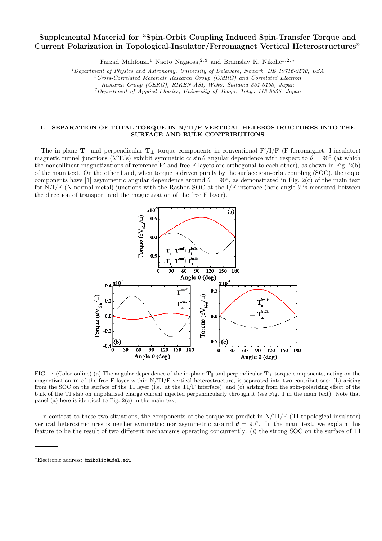## Supplemental Material for "Spin-Orbit Coupling Induced Spin-Transfer Torque and Current Polarization in Topological-Insulator/Ferromagnet Vertical Heterostructures"

Farzad Mahfouzi,<sup>1</sup> Naoto Nagaosa,<sup>2, 3</sup> and Branislav K. Nikolić<sup>1, 2, \*</sup>

<sup>1</sup>Department of Physics and Astronomy, University of Delaware, Newark, DE 19716-2570, USA

 $^{2}C$ ross-Correlated Materials Research Group (CMRG) and Correlated Electron

Research Group (CERG), RIKEN-ASI, Wako, Saitama 351-0198, Japan

 $3$ Department of Applied Physics, University of Tokyo, Tokyo 113-8656, Japan

#### I. SEPARATION OF TOTAL TORQUE IN N/TI/F VERTICAL HETEROSTRUCTURES INTO THE SURFACE AND BULK CONTRIBUTIONS

The in-plane  $T_{\parallel}$  and perpendicular  $T_{\perp}$  torque components in conventional F'/I/F (F-ferromagnet; I-insulator) magnetic tunnel junctions (MTJs) exhibit symmetric  $\alpha \sin \theta$  angular dependence with respect to  $\theta = 90^\circ$  (at which the noncollinear magnetizations of reference  $F'$  and free F layers are orthogonal to each other), as shown in Fig. 2(b) of the main text. On the other hand, when torque is driven purely by the surface spin-orbit coupling (SOC), the toque components have [1] asymmetric angular dependence around  $\theta = 90^{\circ}$ , as demonstrated in Fig. 2(c) of the main text for N/I/F (N-normal metal) junctions with the Rashba SOC at the I/F interface (here angle  $\theta$  is measured between the direction of transport and the magnetization of the free F layer).



FIG. 1: (Color online) (a) The angular dependence of the in-plane  $T_{\parallel}$  and perpendicular  $T_{\perp}$  torque components, acting on the magnetization  **of the free F layer within**  $N/TI/F$  **vertical heterostructure, is separated into two contributions: (b) arising** from the SOC on the surface of the TI layer (i.e., at the TI/F interface); and (c) arising from the spin-polarizing effect of the bulk of the TI slab on unpolarized charge current injected perpendicularly through it (see Fig. 1 in the main text). Note that panel (a) here is identical to Fig. 2(a) in the main text.

In contrast to these two situations, the components of the torque we predict in  $N/TI/F$  (TI-topological insulator) vertical heterostructures is neither symmetric nor asymmetric around  $\theta = 90^\circ$ . In the main text, we explain this feature to be the result of two different mechanisms operating concurrently: (i) the strong SOC on the surface of TI

<sup>∗</sup>Electronic address: bnikolic@udel.edu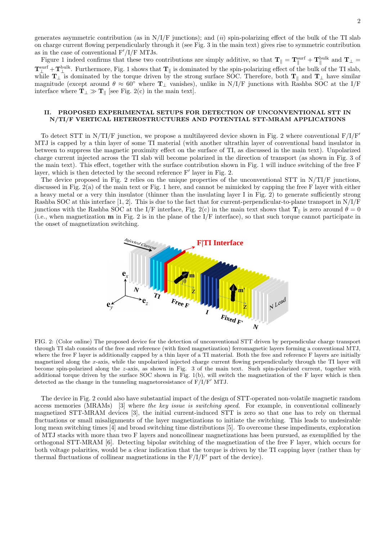generates asymmetric contribution (as in  $N/I/F$  junctions); and *(ii)* spin-polarizing effect of the bulk of the TI slab on charge current flowing perpendicularly through it (see Fig. 3 in the main text) gives rise to symmetric contribution as in the case of conventional  $F'/I/F$  MTJs.

Figure 1 indeed confirms that these two contributions are simply additive, so that  $T_{\parallel} = T_{\parallel}^{\text{surf}} + T_{\parallel}^{\text{bulk}}$  and  $T_{\perp} = T_{\parallel}^{\text{bulk}}$  $\mathbf{T}^{\text{surf}}_{\perp}+\mathbf{T}^{\text{bulk}}_{\perp}$ . Furthermore, Fig. 1 shows that  $\mathbf{T}_{\parallel}$  is dominated by the spin-polarizing effect of the bulk of the TI slab, while  $T_{\perp}$  is dominated by the torque driven by the strong surface SOC. Therefore, both  $T_{\parallel}$  and  $T_{\perp}$  have similar magnitude (except around  $\theta \approx 60^{\circ}$  where  $T_{\perp}$  vanishes), unlike in N/I/F junctions with Rashba SOC at the I/F interface where  $\mathbf{T}_{\perp} \gg \mathbf{T}_{\parallel}$  [see Fig. 2(c) in the main text].

#### II. PROPOSED EXPERIMENTAL SETUPS FOR DETECTION OF UNCONVENTIONAL STT IN N/TI/F VERTICAL HETEROSTRUCTURES AND POTENTIAL STT-MRAM APPLICATIONS

To detect STT in N/TI/F junction, we propose a multilayered device shown in Fig. 2 where conventional  $F/I/F'$ MTJ is capped by a thin layer of some TI material (with another ultrathin layer of conventional band insulator in between to suppress the magnetic proximity effect on the surface of TI, as discussed in the main text). Unpolarized charge current injected across the TI slab will become polarized in the direction of transport (as shown in Fig. 3 of the main text). This effect, together with the surface contribution shown in Fig. 1 will induce switching of the free F layer, which is then detected by the second reference  $F'$  layer in Fig. 2.

The device proposed in Fig. 2 relies on the unique properties of the unconventional STT in N/TI/F junctions, discussed in Fig. 2(a) of the main text or Fig. 1 here, and cannot be mimicked by capping the free F layer with either a heavy metal or a very thin insulator (thinner than the insulating layer I in Fig. 2) to generate sufficiently strong Rashba SOC at this interface [1, 2]. This is due to the fact that for current-perpendicular-to-plane transport in  $N/I/F$ junctions with the Rashba SOC at the I/F interface, Fig. 2(c) in the main text shows that  $T_{\parallel}$  is zero around  $\theta = 0$ (i.e., when magnetization m in Fig. 2 is in the plane of the I/F interface), so that such torque cannot participate in the onset of magnetization switching.



FIG. 2: (Color online) The proposed device for the detection of unconventional STT driven by perpendicular charge transport through TI slab consists of the free and reference (with fixed magnetization) ferromagnetic layers forming a conventional MTJ, where the free F layer is additionally capped by a thin layer of a TI material. Both the free and reference F layers are initially magnetized along the x-axis, while the unpolarized injected charge current flowing perpendicularly through the TI layer will become spin-polarized along the z-axis, as shown in Fig. 3 of the main text. Such spin-polarized current, together with additional torque driven by the surface SOC shown in Fig. 1(b), will switch the magnetization of the F layer which is then detected as the change in the tunneling magnetoresistance of  $F/I/F'$  MTJ.

The device in Fig. 2 could also have substantial impact of the design of STT-operated non-volatile magnetic random access memories (MRAMs) [3] where the key issue is switching speed. For example, in conventional collinearly magnetized STT-MRAM devices [3], the initial current-induced STT is zero so that one has to rely on thermal fluctuations or small misalignments of the layer magnetizations to initiate the switching. This leads to undesirable long mean switching times [4] and broad switching time distributions [5]. To overcome these impediments, exploration of MTJ stacks with more than two F layers and noncollinear magnetizations has been pursued, as exemplified by the orthogonal STT-MRAM [6]. Detecting bipolar switching of the magnetization of the free F layer, which occurs for both voltage polarities, would be a clear indication that the torque is driven by the TI capping layer (rather than by thermal fluctuations of collinear magnetizations in the  $F/I/F'$  part of the device).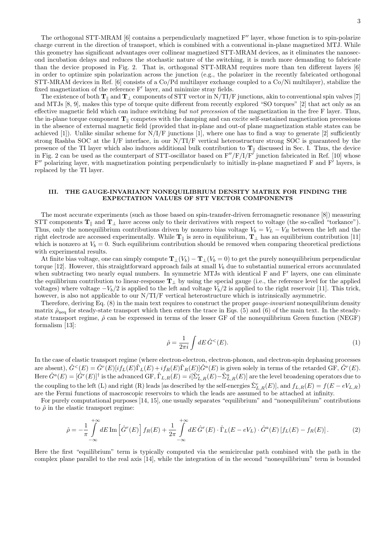The existence of both  $T_k$  and  $T_{\perp}$  components of STT vector in N/TI/F junctions, akin to conventional spin valves [7] and MTJs [8, 9], makes this type of torque quite different from recently explored "SO torques" [2] that act only as an effective magnetic field which can induce switching but not precession of the magnetization in the free  $F$  layer. Thus, the in-plane torque component  $T_{\parallel}$  competes with the damping and can excite self-sustained magnetization precessions in the absence of external magnetic field (provided that in-plane and out-of plane magnetization stable states can be achieved [1]). Unlike similar scheme for  $N/I/F$  junctions [1], where one has to find a way to generate [2] sufficiently strong Rashba SOC at the I/F interface, in our N/TI/F vertical heterostructure strong SOC is guaranteed by the presence of the TI layer which also induces additional bulk contribution to  $T_{\parallel}$  discussed in Sec. I. Thus, the device in Fig. 2 can be used as the counterpart of STT-oscillator based on  $F''/F/I/F'$  junction fabricated in Ref. [10] whose  $F''$  polarizing layer, with magnetization pointing perpendicularly to initially in-plane magnetized F and  $F'$  layers, is replaced by the TI layer.

### III. THE GAUGE-INVARIANT NONEQUILIBRIUM DENSITY MATRIX FOR FINDING THE EXPECTATION VALUES OF STT VECTOR COMPONENTS

The most accurate experiments (such as those based on spin-transfer-driven ferromagnetic resonance [8]) measuring STT components  $T_{\parallel}$  and  $T_{\perp}$  have access only to their derivatives with respect to voltage (the so-called "torkance"). Thus, only the nonequilibrium contributions driven by nonzero bias voltage  $V_b = V_L - V_R$  between the left and the right electrode are accessed experimentally. While  $T_{\parallel}$  is zero in equilibrium,  $T_{\perp}$  has an equilibrium contribution [11] which is nonzero at  $V_b = 0$ . Such equilibrium contribution should be removed when comparing theoretical predictions with experimental results.

At finite bias voltage, one can simply compute  $\mathbf{T} \mid (V_b) - \mathbf{T} \mid (V_b = 0)$  to get the purely nonequilibrium perpendicular torque [12]. However, this straightforward approach fails at small  $V<sub>b</sub>$  due to substantial numerical errors accumulated when subtracting two nearly equal numbers. In symmetric MTJs with identical F and F' layers, one can eliminate the equilibrium contribution to linear-response  $T_{\perp}$  by using the special gauge (i.e., the reference level for the applied voltages) where voltage  $-V_b/2$  is applied to the left and voltage  $V_b/2$  is applied to the right reservoir [11]. This trick, however, is also not applicable to our N/TI/F vertical heterostructure which is intrinsically asymmetric.

Therefore, deriving Eq. (8) in the main text requires to construct the proper *gauge-invariant* nonequilibrium density matrix  $\hat{\rho}_{\text{neq}}$  for steady-state transport which then enters the trace in Eqs. (5) and (6) of the main text. In the steadystate transport regime,  $\hat{\rho}$  can be expressed in terms of the lesser GF of the nonequilibrium Green function (NEGF) formalism [13]:

$$
\hat{\rho} = \frac{1}{2\pi i} \int dE \,\hat{G}^{\leq}(E). \tag{1}
$$

In the case of elastic transport regime (where electron-electron, electron-phonon, and electron-spin dephasing processes are absent),  $\hat{G}^{<}(E) = \hat{G}^{r}(E)[if_L(E)\hat{\Gamma}_L(E) + if_R(E)\hat{\Gamma}_R(E)]\hat{G}^{a}(E)$  is given solely in terms of the retarded GF,  $\hat{G}^{r}(E)$ . Here  $\hat G^a(E)=[\hat G^r(E)]^\dag$  is the advanced GF,  $\hat\Gamma_{L,R}(E)=i[\hat\Sigma^r_{L,R}(E)-\hat\Sigma^a_{L,R}(E)]$  are the level broadening operators due to the coupling to the left (L) and right (R) leads [as described by the self-energies  $\hat{\Sigma}_{L,R}^r(E)$ ], and  $f_{L,R}(E) = f(E - eV_{L,R})$ are the Fermi functions of macroscopic reservoirs to which the leads are assumed to be attached at infinity.

For purely computational purposes [14, 15], one usually separates "equilibrium" and "nonequilibrium" contributions to  $\hat{\rho}$  in the elastic transport regime:

$$
\hat{\rho} = -\frac{1}{\pi} \int_{-\infty}^{+\infty} dE \operatorname{Im} \left[ \hat{G}^r(E) \right] f_R(E) + \frac{1}{2\pi} \int_{-\infty}^{+\infty} dE \, \hat{G}^r(E) \cdot \hat{\Gamma}_L(E - eV_L) \cdot \hat{G}^a(E) \left[ f_L(E) - f_R(E) \right]. \tag{2}
$$

Here the first "equilibrium" term is typically computed via the semicircular path combined with the path in the complex plane parallel to the real axis [14], while the integration of in the second "nonequilibrium" term is bounded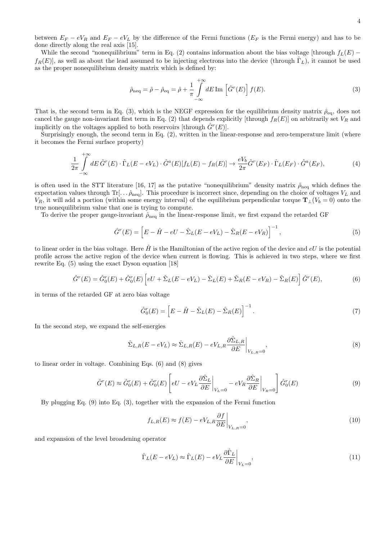between  $E_F - eV_R$  and  $E_F - eV_L$  by the difference of the Fermi functions ( $E_F$  is the Fermi energy) and has to be done directly along the real axis [15].

While the second "nonequilibrium" term in Eq. (2) contains information about the bias voltage [through  $f_L(E)$  −  $f_R(E)$ , as well as about the lead assumed to be injecting electrons into the device (through  $\Gamma_L$ ), it cannot be used as the proper nonequilibrium density matrix which is defined by:

$$
\hat{\rho}_{\text{neq}} = \hat{\rho} - \hat{\rho}_{\text{eq}} = \hat{\rho} + \frac{1}{\pi} \int_{-\infty}^{+\infty} dE \text{ Im } \left[ \hat{G}^r(E) \right] f(E). \tag{3}
$$

That is, the second term in Eq. (3), which is the NEGF expression for the equilibrium density matrix  $\hat{\rho}_{eq}$ , does not cancel the gauge non-invariant first term in Eq. (2) that depends explicitly [through  $f_R(E)$ ] on arbitrarily set  $V_R$  and implicitly on the voltages applied to both reservoirs [through  $\hat{G}^r(E)$ ].

Surprisingly enough, the second term in Eq. (2), written in the linear-response and zero-temperature limit (where it becomes the Fermi surface property)

$$
\frac{1}{2\pi} \int_{-\infty}^{+\infty} dE \hat{G}^r(E) \cdot \hat{\Gamma}_L(E - eV_L) \cdot \hat{G}^a(E)[f_L(E) - f_R(E)] \rightarrow \frac{eV_b}{2\pi} \hat{G}^r(E_F) \cdot \hat{\Gamma}_L(E_F) \cdot \hat{G}^a(E_F),\tag{4}
$$

is often used in the STT literature [16, 17] as the putative "nonequilibrium" density matrix  $\rho_{\text{neq}}$  which defines the expectation values through  $\text{Tr}[\ldots \hat{\rho}_{\text{neq}}]$ . This procedure is incorrect since, depending on the choice of voltages  $V_L$  and  $V_R$ , it will add a portion (within some energy interval) of the equilibrium perpendicular torque  $\mathbf{T}_{\perp}(V_b = 0)$  onto the true nonequilibrium value that one is trying to compute.

To derive the proper gauge-invariant  $\hat{\rho}_{\text{neg}}$  in the linear-response limit, we first expand the retarded GF

$$
\hat{G}^r(E) = \left[E - \hat{H} - eU - \hat{\Sigma}_L(E - eV_L) - \hat{\Sigma}_R(E - eV_R)\right]^{-1},\tag{5}
$$

to linear order in the bias voltage. Here  $\hat{H}$  is the Hamiltonian of the active region of the device and eU is the potential profile across the active region of the device when current is flowing. This is achieved in two steps, where we first rewrite Eq. (5) using the exact Dyson equation [18]

$$
\hat{G}^r(E) = \hat{G}_0^r(E) + \hat{G}_0^r(E) \left[ eU + \hat{\Sigma}_L(E - eV_L) - \hat{\Sigma}_L(E) + \hat{\Sigma}_R(E - eV_R) - \hat{\Sigma}_R(E) \right] \hat{G}^r(E),\tag{6}
$$

in terms of the retarded GF at zero bias voltage

$$
\hat{G}_0^r(E) = \left[E - \hat{H} - \hat{\Sigma}_L(E) - \hat{\Sigma}_R(E)\right]^{-1}.
$$
\n(7)

In the second step, we expand the self-energies

$$
\hat{\Sigma}_{L,R}(E - eV_L) \approx \hat{\Sigma}_{L,R}(E) - eV_{L,R}\frac{\partial \hat{\Sigma}_{L,R}}{\partial E}\bigg|_{V_{L,R}=0},\tag{8}
$$

to linear order in voltage. Combining Eqs. (6) and (8) gives

$$
\hat{G}^r(E) \approx \hat{G}_0^r(E) + \hat{G}_0^r(E) \left[ eU - eV_L \frac{\partial \hat{\Sigma}_L}{\partial E} \Big|_{V_L=0} - eV_R \frac{\partial \hat{\Sigma}_R}{\partial E} \Big|_{V_R=0} \right] \hat{G}_0^r(E)
$$
\n(9)

By plugging Eq. (9) into Eq. (3), together with the expansion of the Fermi function

$$
f_{L,R}(E) \approx f(E) - eV_{L,R} \frac{\partial f}{\partial E}\bigg|_{V_{L,R}=0},\tag{10}
$$

and expansion of the level broadening operator

$$
\hat{\Gamma}_L(E - eV_L) \approx \hat{\Gamma}_L(E) - eV_L \frac{\partial \hat{\Gamma}_L}{\partial E}\Big|_{V_L=0},\tag{11}
$$